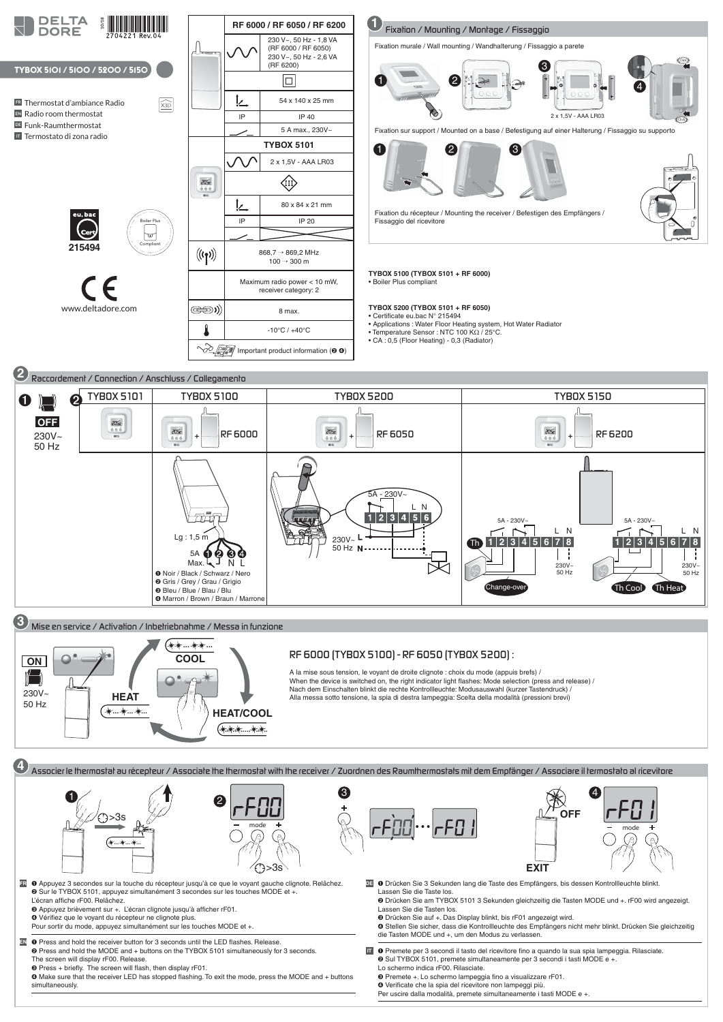*Associer le thermostat au récepteur / Associate the thermostat with the receiver / Zuordnen des Raumthermostats mit dem Empfänger / Associare il termostato al ricevitore*



*Mise en service / Activation / Inbetriebnahme / Messa in funzione*  **3**

**4**

## *RF 6000 (TYBOX 5100) - RF 6050 (TYBOX 5200) :*

- **FR**  $\bullet$  Appuyez 3 secondes sur la touche du récepteur jusqu'à ce que le voyant gauche clignote. Relâchez. Ë Sur le TYBOX 5101, appuyez simultanément 3 secondes sur les touches MODE et +. L'écran affiche rF00. Relâchez.
	- Ì Appuyez brièvement sur +. L'écran clignote jusqu'à afficher rF01.
	- Í Vérifiez que le voyant du récepteur ne clignote plus.

**@** Press and hold the MODE and + buttons on the TYBOX 5101 simultaneously for 3 seconds. The screen will display rF00. Release.

 $\odot$  Press + briefly. The screen will flash, then display rF01.

A la mise sous tension, le voyant de droite clignote : choix du mode (appuis brefs) / When the device is switched on, the right indicator light flashes: Mode selection (press and release) / Nach dem Einschalten blinkt die rechte Kontrollleuchte: Modusauswahl (kurzer Tastendruck) / Alla messa sotto tensione, la spia di destra lampeggia: Scelta della modalità (pressioni brevi)

 $\odot$  Make sure that the receiver LED has stopped flashing. To exit the mode, press the MODE and + buttons simultaneously.

**DE O** Drücken Sie 3 Sekunden lang die Taste des Empfängers, bis dessen Kontrollleuchte blinkt. Lassen Sie die Taste los.









Pour sortir du mode, appuyez simultanément sur les touches MODE et +.

**EN**  $\bullet$  Press and hold the receiver button for 3 seconds until the LED flashes. Release.

Ë Drücken Sie am TYBOX 5101 3 Sekunden gleichzeitig die Tasten MODE und +. rF00 wird angezeigt. Lassen Sie die Tasten los.

<sup>6</sup> Drücken Sie auf +. Das Display blinkt, bis rF01 angezeigt wird.

Í Stellen Sie sicher, dass die Kontrollleuchte des Empfängers nicht mehr blinkt. Drücken Sie gleichzeitig die Tasten MODE und +, um den Modus zu verlassen.

**IT O** Premete per 3 secondi il tasto del ricevitore fino a quando la sua spia lampeggia. Rilasciate.

Ë Sul TYBOX 5101, premete simultaneamente per 3 secondi i tasti MODE e +.

Lo schermo indica rF00. Rilasciate.

 $\odot$  Premete +. Lo schermo lampeggia fino a visualizzare rF01.

Í Verificate che la spia del ricevitore non lampeggi più.

Per uscire dalla modalità, premete simultaneamente i tasti MODE e +.